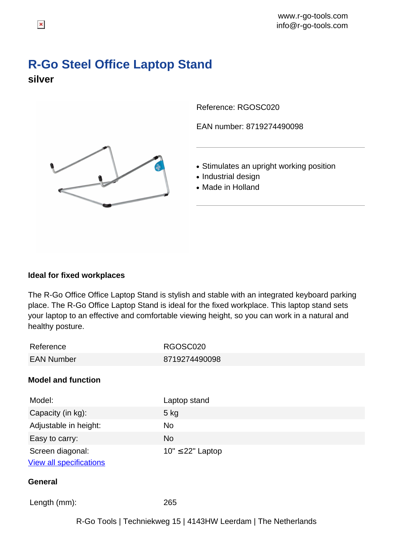## **R-Go Steel Office Laptop Stand silver**

Reference: RGOSC020

EAN number: 8719274490098

- Stimulates an upright working position
- Industrial design
- Made in Holland

## **Ideal for fixed workplaces**

The R-Go Office Office Laptop Stand is stylish and stable with an integrated keyboard parking place. The R-Go Office Laptop Stand is ideal for the fixed workplace. This laptop stand sets your laptop to an effective and comfortable viewing height, so you can work in a natural and healthy posture.

| Reference                                                      | RGOSC020              |  |
|----------------------------------------------------------------|-----------------------|--|
| <b>EAN Number</b>                                              | 8719274490098         |  |
| <b>Model and function</b>                                      |                       |  |
| Model:                                                         | Laptop stand          |  |
| Capacity (in kg):                                              | $5$ kg                |  |
| Adjustable in height:                                          | <b>No</b>             |  |
| Easy to carry:                                                 | <b>No</b>             |  |
| Screen diagonal:                                               | $10" \leq 22"$ Laptop |  |
| <b>View all specifications</b>                                 |                       |  |
| General                                                        |                       |  |
| Length (mm):                                                   | 265                   |  |
| R-Go Tools   Techniekweg 15   4143HW Leerdam   The Netherlands |                       |  |